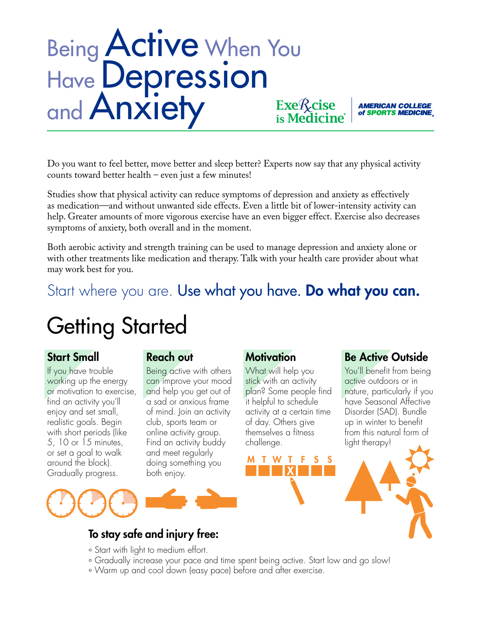## Being **Active** When You Have Depression and **Anxiety Exe***R*<sub>cise</sub>

Do you want to feel better, move better and sleep better? Experts now say that any physical activity counts toward better health – even just a few minutes!

Studies show that physical activity can reduce symptoms of depression and anxiety as effectively as medication—and without unwanted side effects. Even a little bit of lower-intensity activity can help. Greater amounts of more vigorous exercise have an even bigger effect. Exercise also decreases symptoms of anxiety, both overall and in the moment.

Both aerobic activity and strength training can be used to manage depression and anxiety alone or with other treatments like medication and therapy. Talk with your health care provider about what may work best for you.

### Start where you are. Use what you have. Do what you can.

# Getting Started

#### Start Small

If you have trouble working up the energy or motivation to exercise, find an activity you'll enjoy and set small, realistic goals. Begin with short periods (like 5, 10 or 15 minutes, or set a goal to walk around the block). Gradually progress.

#### Reach out

Being active with others can improve your mood and help you get out of a sad or anxious frame of mind. Join an activity club, sports team or online activity group. Find an activity buddy and meet regularly doing something you both enjoy.

#### **Motivation**

**MTWT** 

What will help you stick with an activity plan? Some people find it helpful to schedule activity at a certain time of day. Others give themselves a fitness challenge.

### Be Active Outside

**AMERICAN COLLEGE** of SPORTS MEDICINE

You'll benefit from being active outdoors or in nature, particularly if you have Seasonal Affective Disorder (SAD). Bundle up in winter to benefit from this natural form of light therapy!





### To stay safe and injury free:

- ° Start with light to medium effort.
- ° Gradually increase your pace and time spent being active. Start low and go slow!
- ° Warm up and cool down (easy pace) before and after exercise.